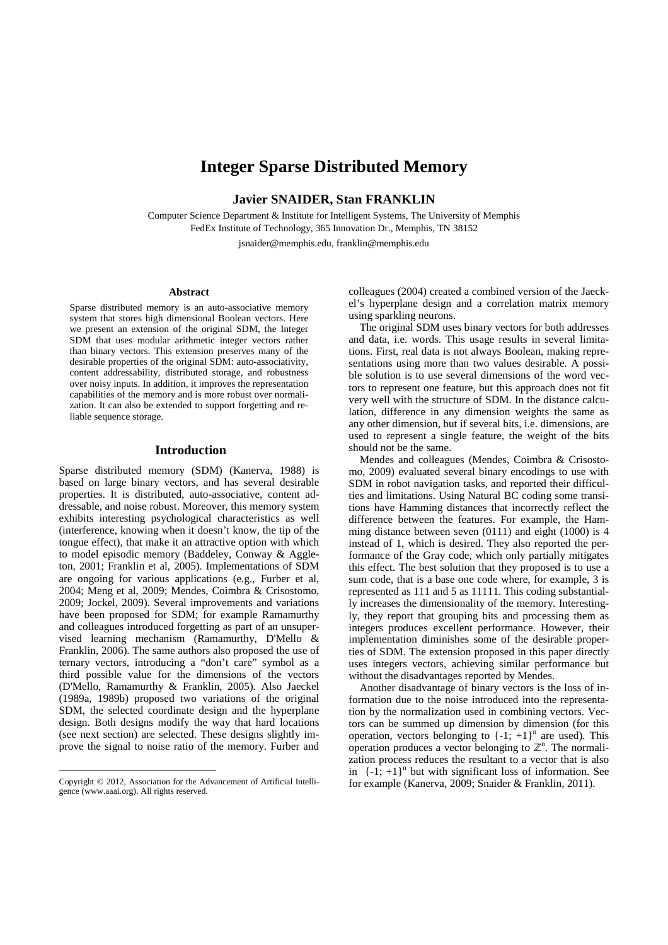# **Integer Sparse Distributed Memory**

**Javier SNAIDER, Stan FRANKLIN** 

Computer Science Department & Institute for Intelligent Systems, The University of Memphis FedEx Institute of Technology, 365 Innovation Dr., Memphis, TN 38152

jsnaider@memphis.edu, franklin@memphis.edu

#### **Abstract**

Sparse distributed memory is an auto-associative memory system that stores high dimensional Boolean vectors. Here we present an extension of the original SDM, the Integer SDM that uses modular arithmetic integer vectors rather than binary vectors. This extension preserves many of the desirable properties of the original SDM: auto-associativity, content addressability, distributed storage, and robustness over noisy inputs. In addition, it improves the representation capabilities of the memory and is more robust over normalization. It can also be extended to support forgetting and reliable sequence storage.

### **Introduction**

Sparse distributed memory (SDM) (Kanerva, 1988) is based on large binary vectors, and has several desirable properties. It is distributed, auto-associative, content addressable, and noise robust. Moreover, this memory system exhibits interesting psychological characteristics as well (interference, knowing when it doesn't know, the tip of the tongue effect), that make it an attractive option with which to model episodic memory (Baddeley, Conway & Aggleton, 2001; Franklin et al, 2005). Implementations of SDM are ongoing for various applications (e.g., Furber et al, 2004; Meng et al, 2009; Mendes, Coimbra & Crisostomo, 2009; Jockel, 2009). Several improvements and variations have been proposed for SDM; for example Ramamurthy and colleagues introduced forgetting as part of an unsupervised learning mechanism (Ramamurthy, D'Mello & Franklin, 2006). The same authors also proposed the use of ternary vectors, introducing a "don't care" symbol as a third possible value for the dimensions of the vectors (D'Mello, Ramamurthy & Franklin, 2005). Also Jaeckel (1989a, 1989b) proposed two variations of the original SDM, the selected coordinate design and the hyperplane design. Both designs modify the way that hard locations (see next section) are selected. These designs slightly improve the signal to noise ratio of the memory. Furber and

colleagues (2004) created a combined version of the Jaeckel's hyperplane design and a correlation matrix memory using sparkling neurons.

 The original SDM uses binary vectors for both addresses and data, i.e. words. This usage results in several limitations. First, real data is not always Boolean, making representations using more than two values desirable. A possible solution is to use several dimensions of the word vectors to represent one feature, but this approach does not fit very well with the structure of SDM. In the distance calculation, difference in any dimension weights the same as any other dimension, but if several bits, i.e. dimensions, are used to represent a single feature, the weight of the bits should not be the same.

 Mendes and colleagues (Mendes, Coimbra & Crisostomo, 2009) evaluated several binary encodings to use with SDM in robot navigation tasks, and reported their difficulties and limitations. Using Natural BC coding some transitions have Hamming distances that incorrectly reflect the difference between the features. For example, the Hamming distance between seven (0111) and eight (1000) is 4 instead of 1, which is desired. They also reported the performance of the Gray code, which only partially mitigates this effect. The best solution that they proposed is to use a sum code, that is a base one code where, for example, 3 is represented as 111 and 5 as 11111. This coding substantially increases the dimensionality of the memory. Interestingly, they report that grouping bits and processing them as integers produces excellent performance. However, their implementation diminishes some of the desirable properties of SDM. The extension proposed in this paper directly uses integers vectors, achieving similar performance but without the disadvantages reported by Mendes.

 Another disadvantage of binary vectors is the loss of information due to the noise introduced into the representation by the normalization used in combining vectors. Vectors can be summed up dimension by dimension (for this operation, vectors belonging to  $\{-1, +1\}^n$  are used). This operation produces a vector belonging to  $\mathbb{Z}^n$ . The normalization process reduces the resultant to a vector that is also in  $\{-1, +1\}^n$  but with significant loss of information. See for example (Kanerva, 2009; Snaider & Franklin, 2011).

Copyright © 2012, Association for the Advancement of Artificial Intelligence (www.aaai.org). All rights reserved.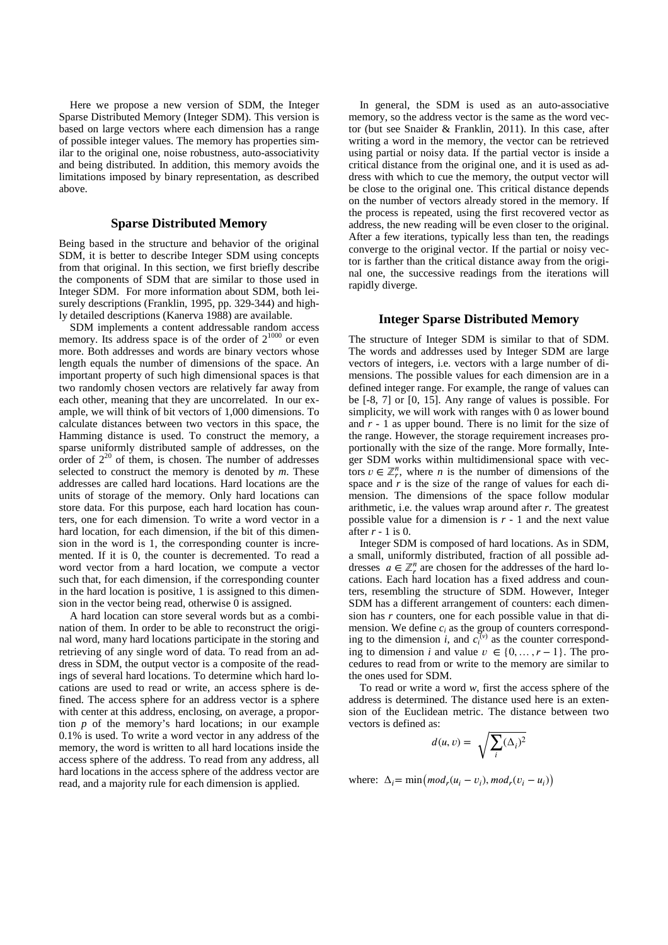Here we propose a new version of SDM, the Integer Sparse Distributed Memory (Integer SDM). This version is based on large vectors where each dimension has a range of possible integer values. The memory has properties similar to the original one, noise robustness, auto-associativity and being distributed. In addition, this memory avoids the limitations imposed by binary representation, as described above.

## **Sparse Distributed Memory**

Being based in the structure and behavior of the original SDM, it is better to describe Integer SDM using concepts from that original. In this section, we first briefly describe the components of SDM that are similar to those used in Integer SDM. For more information about SDM, both leisurely descriptions (Franklin, 1995, pp. 329-344) and highly detailed descriptions (Kanerva 1988) are available.

 SDM implements a content addressable random access memory. Its address space is of the order of  $2^{1000}$  or even more. Both addresses and words are binary vectors whose length equals the number of dimensions of the space. An important property of such high dimensional spaces is that two randomly chosen vectors are relatively far away from each other, meaning that they are uncorrelated. In our example, we will think of bit vectors of 1,000 dimensions. To calculate distances between two vectors in this space, the Hamming distance is used. To construct the memory, a sparse uniformly distributed sample of addresses, on the order of  $2^{20}$  of them, is chosen. The number of addresses selected to construct the memory is denoted by *m*. These addresses are called hard locations. Hard locations are the units of storage of the memory. Only hard locations can store data. For this purpose, each hard location has counters, one for each dimension. To write a word vector in a hard location, for each dimension, if the bit of this dimension in the word is 1, the corresponding counter is incremented. If it is 0, the counter is decremented. To read a word vector from a hard location, we compute a vector such that, for each dimension, if the corresponding counter in the hard location is positive, 1 is assigned to this dimension in the vector being read, otherwise 0 is assigned.

 A hard location can store several words but as a combination of them. In order to be able to reconstruct the original word, many hard locations participate in the storing and retrieving of any single word of data. To read from an address in SDM, the output vector is a composite of the readings of several hard locations. To determine which hard locations are used to read or write, an access sphere is defined. The access sphere for an address vector is a sphere with center at this address, enclosing, on average, a proportion *p* of the memory's hard locations; in our example 0.1% is used. To write a word vector in any address of the memory, the word is written to all hard locations inside the access sphere of the address. To read from any address, all hard locations in the access sphere of the address vector are read, and a majority rule for each dimension is applied.

 In general, the SDM is used as an auto-associative memory, so the address vector is the same as the word vector (but see Snaider & Franklin, 2011). In this case, after writing a word in the memory, the vector can be retrieved using partial or noisy data. If the partial vector is inside a critical distance from the original one, and it is used as address with which to cue the memory, the output vector will be close to the original one. This critical distance depends on the number of vectors already stored in the memory. If the process is repeated, using the first recovered vector as address, the new reading will be even closer to the original. After a few iterations, typically less than ten, the readings converge to the original vector. If the partial or noisy vector is farther than the critical distance away from the original one, the successive readings from the iterations will rapidly diverge.

# **Integer Sparse Distributed Memory**

The structure of Integer SDM is similar to that of SDM. The words and addresses used by Integer SDM are large vectors of integers, i.e. vectors with a large number of dimensions. The possible values for each dimension are in a defined integer range. For example, the range of values can be [-8, 7] or [0, 15]. Any range of values is possible. For simplicity, we will work with ranges with 0 as lower bound and *r* - 1 as upper bound. There is no limit for the size of the range. However, the storage requirement increases proportionally with the size of the range. More formally, Integer SDM works within multidimensional space with vectors  $v \in \mathbb{Z}_r^n$ , where *n* is the number of dimensions of the space and *r* is the size of the range of values for each dimension. The dimensions of the space follow modular arithmetic, i.e. the values wrap around after *r*. The greatest possible value for a dimension is *r* - 1 and the next value after *r* - 1 is 0.

 Integer SDM is composed of hard locations. As in SDM, a small, uniformly distributed, fraction of all possible addresses  $a \in \mathbb{Z}_r^n$  are chosen for the addresses of the hard locations. Each hard location has a fixed address and counters, resembling the structure of SDM. However, Integer SDM has a different arrangement of counters: each dimension has *r* counters, one for each possible value in that dimension. We define  $c_i$  as the group of counters corresponding to the dimension *i*, and  $c_i^{(v)}$  as the counter corresponding to dimension *i* and value  $v \in \{0, ..., r-1\}$ . The procedures to read from or write to the memory are similar to the ones used for SDM.

 To read or write a word *w*, first the access sphere of the address is determined. The distance used here is an extension of the Euclidean metric. The distance between two vectors is defined as:

$$
d(u, v) = \sqrt{\sum_{i} (\Delta_i)^2}
$$

where:  $\Delta_i = \min \left( \text{mod}_r (u_i - v_i), \text{mod}_r (v_i - u_i) \right)$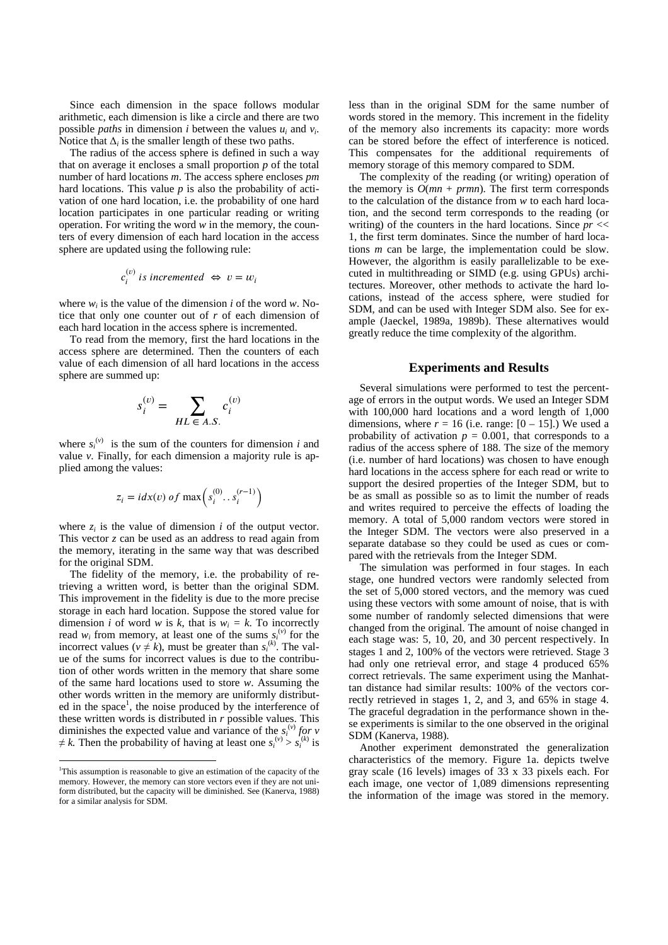Since each dimension in the space follows modular arithmetic, each dimension is like a circle and there are two possible *paths* in dimension *i* between the values  $u_i$  and  $v_i$ . Notice that  $\Delta_i$  is the smaller length of these two paths.

 The radius of the access sphere is defined in such a way that on average it encloses a small proportion *p* of the total number of hard locations *m*. The access sphere encloses *pm* hard locations. This value *p* is also the probability of activation of one hard location, i.e. the probability of one hard location participates in one particular reading or writing operation. For writing the word *w* in the memory, the counters of every dimension of each hard location in the access sphere are updated using the following rule:

$$
c_i^{(v)} \text{ is incremented } \Leftrightarrow v = w_i
$$

where  $w_i$  is the value of the dimension *i* of the word *w*. Notice that only one counter out of *r* of each dimension of each hard location in the access sphere is incremented.

 To read from the memory, first the hard locations in the access sphere are determined. Then the counters of each value of each dimension of all hard locations in the access sphere are summed up:

$$
s_i^{(v)} = \sum_{HL \in A.S.} c_i^{(v)}
$$

where  $s_i^{(v)}$  is the sum of the counters for dimension *i* and value *v*. Finally, for each dimension a majority rule is applied among the values:

$$
z_i = i dx(v) \text{ of } \max\left(s_i^{(0)} \dots s_i^{(r-1)}\right)
$$

where  $z_i$  is the value of dimension  $i$  of the output vector. This vector *z* can be used as an address to read again from the memory, iterating in the same way that was described for the original SDM.

 The fidelity of the memory, i.e. the probability of retrieving a written word, is better than the original SDM. This improvement in the fidelity is due to the more precise storage in each hard location. Suppose the stored value for dimension *i* of word *w* is *k*, that is  $w_i = k$ . To incorrectly read  $w_i$  from memory, at least one of the sums  $S_i^{(v)}$  for the incorrect values ( $v \neq k$ ), must be greater than  $s_i^{(k)}$ . The value of the sums for incorrect values is due to the contribution of other words written in the memory that share some of the same hard locations used to store *w*. Assuming the other words written in the memory are uniformly distributed in the space<sup>1</sup>, the noise produced by the interference of these written words is distributed in *r* possible values. This diminishes the expected value and variance of the  $s_i^{(v)}$  for v  $\neq k$ . Then the probability of having at least one  $s_i^{(v)} > s_i^{(k)}$  is

 $\overline{a}$ 

less than in the original SDM for the same number of words stored in the memory. This increment in the fidelity of the memory also increments its capacity: more words can be stored before the effect of interference is noticed. This compensates for the additional requirements of memory storage of this memory compared to SDM.

 The complexity of the reading (or writing) operation of the memory is  $O(mn + prmn)$ . The first term corresponds to the calculation of the distance from *w* to each hard location, and the second term corresponds to the reading (or writing) of the counters in the hard locations. Since *pr* << 1, the first term dominates. Since the number of hard locations *m* can be large, the implementation could be slow. However, the algorithm is easily parallelizable to be executed in multithreading or SIMD (e.g. using GPUs) architectures. Moreover, other methods to activate the hard locations, instead of the access sphere, were studied for SDM, and can be used with Integer SDM also. See for example (Jaeckel, 1989a, 1989b). These alternatives would greatly reduce the time complexity of the algorithm.

#### **Experiments and Results**

 Several simulations were performed to test the percentage of errors in the output words. We used an Integer SDM with 100,000 hard locations and a word length of 1,000 dimensions, where  $r = 16$  (i.e. range:  $[0 - 15]$ .) We used a probability of activation  $p = 0.001$ , that corresponds to a radius of the access sphere of 188. The size of the memory (i.e. number of hard locations) was chosen to have enough hard locations in the access sphere for each read or write to support the desired properties of the Integer SDM, but to be as small as possible so as to limit the number of reads and writes required to perceive the effects of loading the memory. A total of 5,000 random vectors were stored in the Integer SDM. The vectors were also preserved in a separate database so they could be used as cues or compared with the retrievals from the Integer SDM.

 The simulation was performed in four stages. In each stage, one hundred vectors were randomly selected from the set of 5,000 stored vectors, and the memory was cued using these vectors with some amount of noise, that is with some number of randomly selected dimensions that were changed from the original. The amount of noise changed in each stage was: 5, 10, 20, and 30 percent respectively. In stages 1 and 2, 100% of the vectors were retrieved. Stage 3 had only one retrieval error, and stage 4 produced 65% correct retrievals. The same experiment using the Manhattan distance had similar results: 100% of the vectors correctly retrieved in stages 1, 2, and 3, and 65% in stage 4. The graceful degradation in the performance shown in these experiments is similar to the one observed in the original SDM (Kanerva, 1988).

 Another experiment demonstrated the generalization characteristics of the memory. Figure 1a. depicts twelve gray scale (16 levels) images of 33 x 33 pixels each. For each image, one vector of 1,089 dimensions representing the information of the image was stored in the memory.

<sup>&</sup>lt;sup>1</sup>This assumption is reasonable to give an estimation of the capacity of the memory. However, the memory can store vectors even if they are not uniform distributed, but the capacity will be diminished. See (Kanerva, 1988) for a similar analysis for SDM.